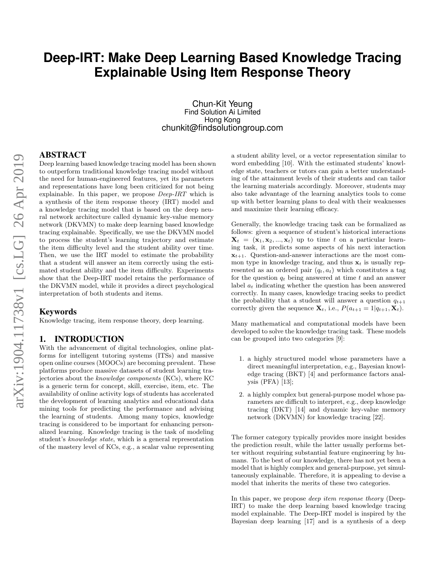# **Deep-IRT: Make Deep Learning Based Knowledge Tracing Explainable Using Item Response Theory**

Chun-Kit Yeung Find Solution Ai Limited Hong Kong chunkit@findsolutiongroup.com

## ABSTRACT

Deep learning based knowledge tracing model has been shown to outperform traditional knowledge tracing model without the need for human-engineered features, yet its parameters and representations have long been criticized for not being explainable. In this paper, we propose Deep-IRT which is a synthesis of the item response theory (IRT) model and a knowledge tracing model that is based on the deep neural network architecture called dynamic key-value memory network (DKVMN) to make deep learning based knowledge tracing explainable. Specifically, we use the DKVMN model to process the student's learning trajectory and estimate the item difficulty level and the student ability over time. Then, we use the IRT model to estimate the probability that a student will answer an item correctly using the estimated student ability and the item difficulty. Experiments show that the Deep-IRT model retains the performance of the DKVMN model, while it provides a direct psychological interpretation of both students and items.

# Keywords

Knowledge tracing, item response theory, deep learning.

#### 1. INTRODUCTION

With the advancement of digital technologies, online platforms for intelligent tutoring systems (ITSs) and massive open online courses (MOOCs) are becoming prevalent. These platforms produce massive datasets of student learning trajectories about the knowledge components (KCs), where KC is a generic term for concept, skill, exercise, item, etc. The availability of online activity logs of students has accelerated the development of learning analytics and educational data mining tools for predicting the performance and advising the learning of students. Among many topics, knowledge tracing is considered to be important for enhancing personalized learning. Knowledge tracing is the task of modeling student's knowledge state, which is a general representation of the mastery level of KCs, e.g., a scalar value representing

a student ability level, or a vector representation similar to word embedding [10]. With the estimated students' knowledge state, teachers or tutors can gain a better understanding of the attainment levels of their students and can tailor the learning materials accordingly. Moreover, students may also take advantage of the learning analytics tools to come up with better learning plans to deal with their weaknesses and maximize their learning efficacy.

Generally, the knowledge tracing task can be formalized as follows: given a sequence of student's historical interactions  $\mathbf{X}_t = (\mathbf{x}_1, \mathbf{x}_2, ..., \mathbf{x}_t)$  up to time t on a particular learning task, it predicts some aspects of his next interaction  $\mathbf{x}_{t+1}$ . Question-and-answer interactions are the most common type in knowledge tracing, and thus  $x_t$  is usually represented as an ordered pair  $(q_t, a_t)$  which constitutes a tag for the question  $q_t$  being answered at time t and an answer label  $a_t$  indicating whether the question has been answered correctly. In many cases, knowledge tracing seeks to predict the probability that a student will answer a question  $q_{t+1}$ correctly given the sequence  $\mathbf{X}_t$ , i.e.,  $P(a_{t+1} = 1|q_{t+1}, \mathbf{X}_t)$ .

Many mathematical and computational models have been developed to solve the knowledge tracing task. These models can be grouped into two categories [9]:

- 1. a highly structured model whose parameters have a direct meaningful interpretation, e.g., Bayesian knowledge tracing (BKT) [4] and performance factors analysis (PFA) [13];
- 2. a highly complex but general-purpose model whose parameters are difficult to interpret, e.g., deep knowledge tracing (DKT) [14] and dynamic key-value memory network (DKVMN) for knowledge tracing [22].

The former category typically provides more insight besides the prediction result, while the latter usually performs better without requiring substantial feature engineering by humans. To the best of our knowledge, there has not yet been a model that is highly complex and general-purpose, yet simultaneously explainable. Therefore, it is appealing to devise a model that inherits the merits of these two categories.

In this paper, we propose *deep item response theory* (Deep-IRT) to make the deep learning based knowledge tracing model explainable. The Deep-IRT model is inspired by the Bayesian deep learning [17] and is a synthesis of a deep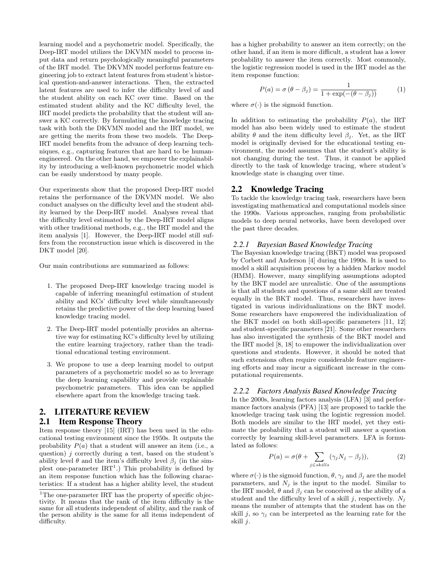learning model and a psychometric model. Specifically, the Deep-IRT model utilizes the DKVMN model to process input data and return psychologically meaningful parameters of the IRT model. The DKVMN model performs feature engineering job to extract latent features from student's historical question-and-answer interactions. Then, the extracted latent features are used to infer the difficulty level of and the student ability on each KC over time. Based on the estimated student ability and the KC difficulty level, the IRT model predicts the probability that the student will answer a KC correctly. By formulating the knowledge tracing task with both the DKVMN model and the IRT model, we are getting the merits from these two models. The Deep-IRT model benefits from the advance of deep learning techniques, e.g., capturing features that are hard to be humanengineered. On the other hand, we empower the explainability by introducing a well-known psychometric model which can be easily understood by many people.

Our experiments show that the proposed Deep-IRT model retains the performance of the DKVMN model. We also conduct analyses on the difficulty level and the student ability learned by the Deep-IRT model. Analyses reveal that the difficulty level estimated by the Deep-IRT model aligns with other traditional methods, e.g., the IRT model and the item analysis [1]. However, the Deep-IRT model still suffers from the reconstruction issue which is discovered in the DKT model [20].

Our main contributions are summarized as follows:

- 1. The proposed Deep-IRT knowledge tracing model is capable of inferring meaningful estimation of student ability and KCs' difficulty level while simultaneously retains the predictive power of the deep learning based knowledge tracing model.
- 2. The Deep-IRT model potentially provides an alternative way for estimating KC's difficulty level by utilizing the entire learning trajectory, rather than the traditional educational testing environment.
- 3. We propose to use a deep learning model to output parameters of a psychometric model so as to leverage the deep learning capability and provide explainable psychometric parameters. This idea can be applied elsewhere apart from the knowledge tracing task.

# 2. LITERATURE REVIEW 2.1 Item Response Theory

Item response theory [15] (IRT) has been used in the educational testing environment since the 1950s. It outputs the probability  $P(a)$  that a student will answer an item (i.e., a question)  $j$  correctly during a test, based on the student's ability level  $\theta$  and the item's difficulty level  $\beta_i$  (in the simplest one-parameter  $IRT^1$ .) This probability is defined by an item response function which has the following characteristics: If a student has a higher ability level, the student

has a higher probability to answer an item correctly; on the other hand, if an item is more difficult, a student has a lower probability to answer the item correctly. Most commonly, the logistic regression model is used in the IRT model as the item response function:

$$
P(a) = \sigma (\theta - \beta_j) = \frac{1}{1 + \exp(-(\theta - \beta_j))}
$$
 (1)

where  $\sigma(\cdot)$  is the sigmoid function.

In addition to estimating the probability  $P(a)$ , the IRT model has also been widely used to estimate the student ability  $\theta$  and the item difficulty level  $\beta_i$ . Yet, as the IRT model is originally devised for the educational testing environment, the model assumes that the student's ability is not changing during the test. Thus, it cannot be applied directly to the task of knowledge tracing, where student's knowledge state is changing over time.

# 2.2 Knowledge Tracing

To tackle the knowledge tracing task, researchers have been investigating mathematical and computational models since the 1990s. Various approaches, ranging from probabilistic models to deep neural networks, have been developed over the past three decades.

#### *2.2.1 Bayesian Based Knowledge Tracing*

The Bayesian knowledge tracing (BKT) model was proposed by Corbett and Anderson [4] during the 1990s. It is used to model a skill acquisition process by a hidden Markov model (HMM). However, many simplifying assumptions adopted by the BKT model are unrealistic. One of the assumptions is that all students and questions of a same skill are treated equally in the BKT model. Thus, researchers have investigated in various individualizations on the BKT model. Some researchers have empowered the individualization of the BKT model on both skill-specific parameters [11, 12] and student-specific parameters [21]. Some other researchers has also investigated the synthesis of the BKT model and the IRT model [8, 18] to empower the individualization over questions and students. However, it should be noted that such extensions often require considerable feature engineering efforts and may incur a significant increase in the computational requirements.

#### *2.2.2 Factors Analysis Based Knowledge Tracing*

In the 2000s, learning factors analysis (LFA) [3] and performance factors analysis (PFA) [13] are proposed to tackle the knowledge tracing task using the logistic regression model. Both models are similar to the IRT model, yet they estimate the probability that a student will answer a question correctly by learning skill-level parameters. LFA is formulated as follows:

$$
P(a) = \sigma(\theta + \sum_{j \in skills} (\gamma_j N_j - \beta_j)), \tag{2}
$$

where  $\sigma(\cdot)$  is the sigmoid function,  $\theta$ ,  $\gamma_j$  and  $\beta_j$  are the model parameters, and  $N_i$  is the input to the model. Similar to the IRT model,  $\theta$  and  $\beta_i$  can be conceived as the ability of a student and the difficulty level of a skill j, respectively.  $N_i$ means the number of attempts that the student has on the skill j, so  $\gamma_j$  can be interpreted as the learning rate for the skill j.

 $^1\rm{The}$  one-parameter IRT has the property of specific objectivity. It means that the rank of the item difficulty is the same for all students independent of ability, and the rank of the person ability is the same for all items independent of difficulty.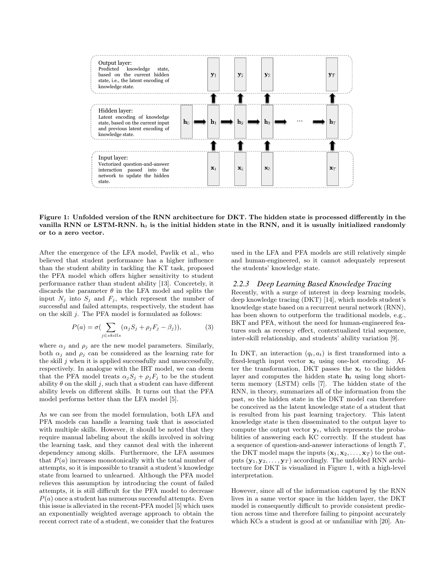

Figure 1: Unfolded version of the RNN architecture for DKT. The hidden state is processed differently in the vanilla RNN or LSTM-RNN.  $h_0$  is the initial hidden state in the RNN, and it is usually initialized randomly or to a zero vector.

After the emergence of the LFA model, Pavlik et al., who believed that student performance has a higher influence than the student ability in tackling the KT task, proposed the PFA model which offers higher sensitivity to student performance rather than student ability [13]. Concretely, it discards the parameter  $\theta$  in the LFA model and splits the input  $N_j$  into  $S_j$  and  $F_j$ , which represent the number of successful and failed attempts, respectively, the student has on the skill j. The PFA model is formulated as follows:

$$
P(a) = \sigma\left(\sum_{j \in skills} (\alpha_j S_j + \rho_j F_j - \beta_j)\right),\tag{3}
$$

where  $\alpha_j$  and  $\rho_j$  are the new model parameters. Similarly, both  $\alpha_j$  and  $\rho_j$  can be considered as the learning rate for the skill  $j$  when it is applied successfully and unsuccessfully, respectively. In analogue with the IRT model, we can deem that the PFA model treats  $\alpha_j S_j + \rho_j F_j$  to be the student ability  $\theta$  on the skill j, such that a student can have different ability levels on different skills. It turns out that the PFA model performs better than the LFA model [5].

As we can see from the model formulation, both LFA and PFA models can handle a learning task that is associated with multiple skills. However, it should be noted that they require manual labeling about the skills involved in solving the learning task, and they cannot deal with the inherent dependency among skills. Furthermore, the LFA assumes that  $P(a)$  increases monotonically with the total number of attempts, so it is impossible to transit a student's knowledge state from learned to unlearned. Although the PFA model relieves this assumption by introducing the count of failed attempts, it is still difficult for the PFA model to decrease  $P(a)$  once a student has numerous successful attempts. Even this issue is alleviated in the recent-PFA model [5] which uses an exponentially weighted average approach to obtain the recent correct rate of a student, we consider that the features

used in the LFA and PFA models are still relatively simple and human-engineered, so it cannot adequately represent the students' knowledge state.

#### *2.2.3 Deep Learning Based Knowledge Tracing*

Recently, with a surge of interest in deep learning models, deep knowledge tracing (DKT) [14], which models student's knowledge state based on a recurrent neural network (RNN), has been shown to outperform the traditional models, e.g., BKT and PFA, without the need for human-engineered features such as recency effect, contextualized trial sequence, inter-skill relationship, and students' ability variation [9].

In DKT, an interaction  $(q_t, a_t)$  is first transformed into a fixed-length input vector  $x_t$  using one-hot encoding. After the transformation, DKT passes the  $x_t$  to the hidden layer and computes the hidden state  $h_t$  using long shortterm memory (LSTM) cells [7]. The hidden state of the RNN, in theory, summarizes all of the information from the past, so the hidden state in the DKT model can therefore be conceived as the latent knowledge state of a student that is resulted from his past learning trajectory. This latent knowledge state is then disseminated to the output layer to compute the output vector  $y_t$ , which represents the probabilities of answering each KC correctly. If the student has a sequence of question-and-answer interactions of length T, the DKT model maps the inputs  $(\mathbf{x}_1, \mathbf{x}_2, \dots, \mathbf{x}_T)$  to the outputs  $(\mathbf{y}_1, \mathbf{y}_2, \dots, \mathbf{y}_T)$  accordingly. The unfolded RNN architecture for DKT is visualized in Figure 1, with a high-level interpretation.

However, since all of the information captured by the RNN lives in a same vector space in the hidden layer, the DKT model is consequently difficult to provide consistent prediction across time and therefore failing to pinpoint accurately which KCs a student is good at or unfamiliar with [20]. An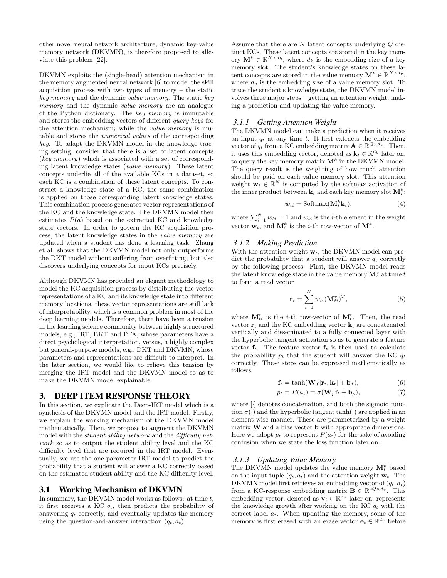other novel neural network architecture, dynamic key-value memory network (DKVMN), is therefore proposed to alleviate this problem [22].

DKVMN exploits the (single-head) attention mechanism in the memory augmented neural network [6] to model the skill acquisition process with two types of memory – the static key memory and the dynamic value memory. The static key memory and the dynamic value memory are an analogue of the Python dictionary. The key memory is immutable and stores the embedding vectors of different query keys for the attention mechanism; while the value memory is mutable and stores the numerical values of the corresponding key. To adapt the DKVMN model in the knowledge tracing setting, consider that there is a set of latent concepts (key memory) which is associated with a set of corresponding latent knowledge states (value memory). These latent concepts underlie all of the available KCs in a dataset, so each KC is a combination of these latent concepts. To construct a knowledge state of a KC, the same combination is applied on those corresponding latent knowledge states. This combination process generates vector representations of the KC and the knowledge state. The DKVMN model then estimates  $P(a)$  based on the extracted KC and knowledge state vectors. In order to govern the KC acquisition process, the latent knowledge states in the value memory are updated when a student has done a learning task. Zhang et al. shows that the DKVMN model not only outperforms the DKT model without suffering from overfitting, but also discovers underlying concepts for input KCs precisely.

Although DKVMN has provided an elegant methodology to model the KC acquisition process by distributing the vector representations of a KC and its knowledge state into different memory locations, these vector representations are still lack of interpretability, which is a common problem in most of the deep learning models. Therefore, there have been a tension in the learning science community between highly structured models, e.g., IRT, BKT and PFA, whose parameters have a direct psychological interpretation, versus, a highly complex but general-purpose models, e.g., DKT and DKVMN, whose parameters and representations are difficult to interpret. In the later section, we would like to relieve this tension by merging the IRT model and the DKVMN model so as to make the DKVMN model explainable.

## 3. DEEP ITEM RESPONSE THEORY

In this section, we explicate the Deep-IRT model which is a synthesis of the DKVMN model and the IRT model. Firstly, we explain the working mechanism of the DKVMN model mathematically. Then, we propose to augment the DKVMN model with the *student ability network* and the *difficulty net*work so as to output the student ability level and the KC difficulty level that are required in the IRT model. Eventually, we use the one-parameter IRT model to predict the probability that a student will answer a KC correctly based on the estimated student ability and the KC difficulty level.

# 3.1 Working Mechanism of DKVMN

In summary, the DKVMN model works as follows: at time t, it first receives a KC  $q_t$ , then predicts the probability of answering  $q_t$  correctly, and eventually updates the memory using the question-and-answer interaction  $(q_t, a_t)$ .

Assume that there are N latent concepts underlying Q distinct KCs. These latent concepts are stored in the key memory  $\mathbf{M}^k \in \mathbb{R}^{N \times d_k}$ , where  $d_k$  is the embedding size of a key memory slot. The student's knowledge states on these latent concepts are stored in the value memory  $\mathbf{M}^v \in \mathbb{R}^{N \times d_v}$ , where  $d_v$  is the embedding size of a value memory slot. To trace the student's knowledge state, the DKVMN model involves three major steps – getting an attention weight, making a prediction and updating the value memory.

#### *3.1.1 Getting Attention Weight*

The DKVMN model can make a prediction when it receives an input  $q_t$  at any time t. It first extracts the embedding vector of  $q_t$  from a KC embedding matrix  $\mathbf{A} \in \mathbb{R}^{Q \times d_k}$ . Then, it uses this embedding vector, denoted as  $\mathbf{k}_t \in \mathbb{R}^{d_k}$  later on, to query the key memory matrix  $M^k$  in the DKVMN model. The query result is the weighting of how much attention should be paid on each value memory slot. This attention weight  $\mathbf{w}_t \in \mathbb{R}^N$  is computed by the softmax activation of the inner product between  $\mathbf{k}_t$  and each key memory slot  $\mathbf{M}_i^k$ :

$$
w_{ti} = \text{Softmax}(\mathbf{M}_i^k \mathbf{k}_t), \tag{4}
$$

where  $\sum_{i=1}^{N} w_{ti} = 1$  and  $w_{ti}$  is the *i*-th element in the weight vector  $\mathbf{w}_t$ , and  $\mathbf{M}_i^k$  is the *i*-th row-vector of  $\mathbf{M}^k$ .

## *3.1.2 Making Prediction*

With the attention weight  $w_t$ , the DKVMN model can predict the probability that a student will answer  $q_t$  correctly by the following process. First, the DKVMN model reads the latent knowledge state in the value memory  $\mathbf{M}_t^v$  at time  $t$ to form a read vector

$$
\mathbf{r}_t = \sum_{i=1}^N w_{ti} (\mathbf{M}_{ti}^v)^T, \tag{5}
$$

where  $\mathbf{M}_{ti}^v$  is the *i*-th row-vector of  $\mathbf{M}_t^v$ . Then, the read vector  $\mathbf{r}_t$  and the KC embedding vector  $\mathbf{k}_t$  are concatenated vertically and disseminated to a fully connected layer with the hyperbolic tangent activation so as to generate a feature vector  $f_t$ . The feature vector  $f_t$  is then used to calculate the probability  $p_t$  that the student will answer the KC  $q_t$ correctly. These steps can be expressed mathematically as follows:

$$
\mathbf{f}_t = \tanh(\mathbf{W}_f[\mathbf{r}_t, \mathbf{k}_t] + \mathbf{b}_f),\tag{6}
$$

$$
p_t = P(a_t) = \sigma(\mathbf{W}_p \mathbf{f}_t + \mathbf{b}_p),\tag{7}
$$

where [·] denotes concatenation, and both the sigmoid function  $\sigma(\cdot)$  and the hyperbolic tangent tanh( $\cdot$ ) are applied in an element-wise manner. These are parameterized by a weight matrix  $W$  and a bias vector  $b$  with appropriate dimensions. Here we adopt  $p_t$  to represent  $P(a_t)$  for the sake of avoiding confusion when we state the loss function later on.

#### *3.1.3 Updating Value Memory*

The DKVMN model updates the value memory  $\mathbf{M}_t^v$  based on the input tuple  $(q_t, a_t)$  and the attention weight  $\mathbf{w}_t$ . The DKVMN model first retrieves an embedding vector of  $(q_t, a_t)$ from a KC-response embedding matrix  $\mathbf{B} \in \mathbb{R}^{2Q \times d_v}$ . This embedding vector, denoted as  $\mathbf{v}_t \in \mathbb{R}^{d_v}$  later on, represents the knowledge growth after working on the KC  $q_t$  with the correct label  $a_t$ . When updating the memory, some of the memory is first erased with an erase vector  $\mathbf{e}_t \in \mathbb{R}^{d_v}$  before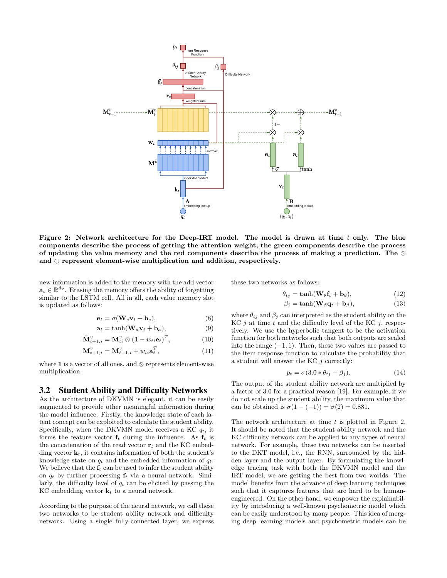

Figure 2: Network architecture for the Deep-IRT model. The model is drawn at time  $t$  only. The blue components describe the process of getting the attention weight, the green components describe the process of updating the value memory and the red components describe the process of making a prediction. The ⊗ and  $oplus$  represent element-wise multiplication and addition, respectively.

new information is added to the memory with the add vector  $\mathbf{a}_t \in \mathbb{R}^{d_v}$ . Erasing the memory offers the ability of forgetting similar to the LSTM cell. All in all, each value memory slot is updated as follows:

$$
\mathbf{e}_t = \sigma(\mathbf{W}_e \mathbf{v}_t + \mathbf{b}_e),\tag{8}
$$

$$
\mathbf{a}_t = \tanh(\mathbf{W}_a \mathbf{v}_t + \mathbf{b}_a),\tag{9}
$$

$$
\tilde{\mathbf{M}}_{t+1,i}^v = \mathbf{M}_{ti}^v \otimes (\mathbf{1} - w_{ti} \mathbf{e}_t)^T, \tag{10}
$$

$$
\mathbf{M}_{t+1,i}^v = \tilde{\mathbf{M}}_{t+1,i}^v + w_{ti}\mathbf{a}_t^T, \tag{11}
$$

where 1 is a vector of all ones, and  $\otimes$  represents element-wise multiplication.

#### 3.2 Student Ability and Difficulty Networks

As the architecture of DKVMN is elegant, it can be easily augmented to provide other meaningful information during the model influence. Firstly, the knowledge state of each latent concept can be exploited to calculate the student ability. Specifically, when the DKVMN model receives a KC  $q_t$ , it forms the feature vector  $f_t$  during the influence. As  $f_t$  is the concatenation of the read vector  $r_t$  and the KC embedding vector  $\mathbf{k}_t$ , it contains information of both the student's knowledge state on  $q_t$  and the embedded information of  $q_t$ . We believe that the  $f_t$  can be used to infer the student ability on  $q_t$  by further processing  $f_t$  via a neural network. Similarly, the difficulty level of  $q_t$  can be elicited by passing the KC embedding vector  $\mathbf{k}_t$  to a neural network.

According to the purpose of the neural network, we call these two networks to be student ability network and difficulty network. Using a single fully-connected layer, we express these two networks as follows:

$$
\theta_{tj} = \tanh(\mathbf{W}_{\theta}\mathbf{f}_t + \mathbf{b}_{\theta}),\tag{12}
$$

$$
\beta_j = \tanh(\mathbf{W}_{\beta}\mathbf{q}_t + \mathbf{b}_{\beta}),\tag{13}
$$

where  $\theta_{tj}$  and  $\beta_j$  can interpreted as the student ability on the  $KC j$  at time t and the difficulty level of the KC j, respectively. We use the hyperbolic tangent to be the activation function for both networks such that both outputs are scaled into the range  $(-1, 1)$ . Then, these two values are passed to the item response function to calculate the probability that a student will answer the KC  $j$  correctly:

$$
p_t = \sigma(3.0 * \theta_{tj} - \beta_j). \tag{14}
$$

The output of the student ability network are multiplied by a factor of 3.0 for a practical reason [19]. For example, if we do not scale up the student ability, the maximum value that can be obtained is  $\sigma(1 - (-1)) = \sigma(2) = 0.881$ .

The network architecture at time t is plotted in Figure 2. It should be noted that the student ability network and the KC difficulty network can be applied to any types of neural network. For example, these two networks can be inserted to the DKT model, i.e., the RNN, surrounded by the hidden layer and the output layer. By formulating the knowledge tracing task with both the DKVMN model and the IRT model, we are getting the best from two worlds. The model benefits from the advance of deep learning techniques such that it captures features that are hard to be humanengineered. On the other hand, we empower the explainability by introducing a well-known psychometric model which can be easily understood by many people. This idea of merging deep learning models and psychometric models can be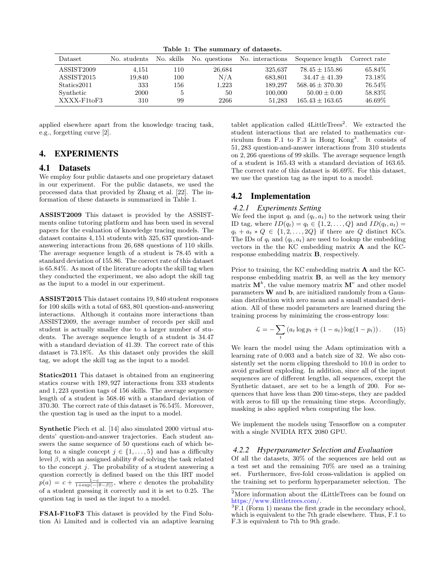Table 1: The summary of datasets.

| Dataset     | No. students | No. skills |        | No. questions No. interactions | Sequence length     | Correct rate |
|-------------|--------------|------------|--------|--------------------------------|---------------------|--------------|
| ASSIST2009  | 4.151        | 110        | 26,684 | 325,637                        | $78.45 \pm 155.86$  | 65.84\%      |
| ASSIST2015  | 19.840       | 100        | N/A    | 683,801                        | $34.47 \pm 41.39$   | 73.18%       |
| Statics2011 | 333          | 156        | 1,223  | 189.297                        | $568.46 \pm 370.30$ | 76.54\%      |
| Synthetic   | 2000         | 5          | 50     | 100,000                        | $50.00 \pm 0.00$    | 58.83%       |
| XXXX-F1toF3 | 310          | 99         | 2266   | 51.283                         | $165.43 \pm 163.65$ | 46.69%       |

applied elsewhere apart from the knowledge tracing task, e.g., forgetting curve [2].

# 4. EXPERIMENTS

# 4.1 Datasets

We employ four public datasets and one proprietary dataset in our experiment. For the public datasets, we used the processed data that provided by Zhang et al. [22]. The information of these datasets is summarized in Table 1.

ASSIST2009 This dataset is provided by the ASSISTments online tutoring platform and has been used in several papers for the evaluation of knowledge tracing models. The dataset contains 4, 151 students with 325, 637 question-andanswering interactions from 26, 688 questions of 110 skills. The average sequence length of a student is 78.45 with a standard deviation of 155.86. The correct rate of this dataset is 65.84%. As most of the literature adopts the skill tag when they conducted the experiment, we also adopt the skill tag as the input to a model in our experiment.

ASSIST2015 This dataset contains 19, 840 student responses for 100 skills with a total of 683, 801 question-and-answering interactions. Although it contains more interactions than ASSIST2009, the average number of records per skill and student is actually smaller due to a larger number of students. The average sequence length of a student is 34.47 with a standard deviation of 41.39. The correct rate of this dataset is 73.18%. As this dataset only provides the skill tag, we adopt the skill tag as the input to a model.

Statics2011 This dataset is obtained from an engineering statics course with 189, 927 interactions from 333 students and 1, 223 question tags of 156 skills. The average sequence length of a student is 568.46 with a standard deviation of 370.30. The correct rate of this dataset is 76.54%. Moreover, the question tag is used as the input to a model.

Synthetic Piech et al. [14] also simulated 2000 virtual students' question-and-answer trajectories. Each student answers the same sequence of 50 questions each of which belong to a single concept  $j \in \{1, \ldots, 5\}$  and has a difficulty level β, with an assigned ability θ of solving the task related to the concept  $j$ . The probability of a student answering a question correctly is defined based on the this IRT model  $p(a) = c + \frac{1-c}{1+\exp(-(\theta-\beta))}$ , where c denotes the probability of a student guessing it correctly and it is set to 0.25. The question tag is used as the input to a model.

FSAI-F1toF3 This dataset is provided by the Find Solution Ai Limited and is collected via an adaptive learning

tablet application called  $4$ LittleTrees<sup>2</sup>. We extracted the student interactions that are related to mathematics curriculum from F.1 to F.3 in Hong Kong<sup>3</sup> . It consists of 51, 283 question-and-answer interactions from 310 students on 2, 266 questions of 99 skills. The average sequence length of a student is 165.43 with a standard deviation of 163.65. The correct rate of this dataset is 46.69%. For this dataset, we use the question tag as the input to a model.

# 4.2 Implementation

#### *4.2.1 Experiments Setting*

We feed the input  $q_t$  and  $(q_t, a_t)$  to the network using their ID tag, where  $ID(q_t) = q_t \in \{1, 2, ..., Q\}$  and  $ID(q_t, a_t) =$  $q_t + a_t * Q \in \{1, 2, ..., 2Q\}$  if there are Q distinct KCs. The IDs of  $q_t$  and  $(q_t, a_t)$  are used to lookup the embedding vectors in the the KC embedding matrix A and the KCresponse embedding matrix B, respectively.

Prior to training, the KC embedding matrix A and the KCresponse embedding matrix B, as well as the key memory matrix  $M^k$ , the value memory matrix  $M^v$  and other model parameters W and b, are initialized randomly from a Gaussian distribution with zero mean and a small standard deviation. All of these model parameters are learned during the training process by minimizing the cross-entropy loss:

$$
\mathcal{L} = -\sum_{t} \left( a_t \log p_t + (1 - a_t) \log(1 - p_t) \right). \tag{15}
$$

We learn the model using the Adam optimization with a learning rate of 0.003 and a batch size of 32. We also consistently set the norm clipping threshold to 10.0 in order to avoid gradient exploding. In addition, since all of the input sequences are of different lengths, all sequences, except the Synthetic dataset, are set to be a length of 200. For sequences that have less than 200 time-steps, they are padded with zeros to fill up the remaining time steps. Accordingly, masking is also applied when computing the loss.

We implement the models using Tensorflow on a computer with a single NVIDIA RTX 2080 GPU.

#### *4.2.2 Hyperparameter Selection and Evaluation*

Of all the datasets, 30% of the sequences are held out as a test set and the remaining 70% are used as a training set. Furthermore, five-fold cross-validation is applied on the training set to perform hyperparameter selection. The

 $^2 \rm{More}$  information about the 4LittleTrees can be found on https://www.4littletrees.com/.

 ${}^{3}$ F.1 (Form 1) means the first grade in the secondary school, which is equivalent to the 7th grade elsewhere. Thus, F.1 to F.3 is equivalent to 7th to 9th grade.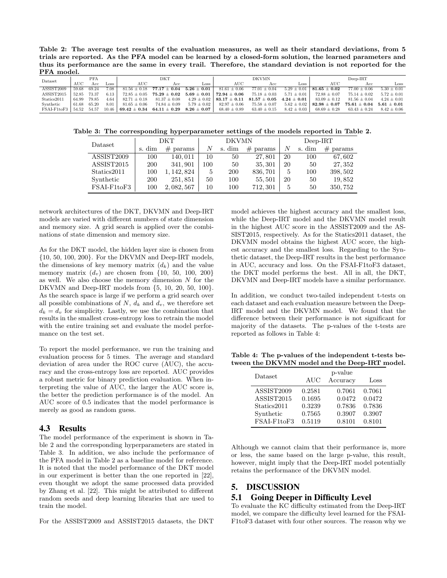Table 2: The average test results of the evaluation measures, as well as their standard deviations, from 5 trials are reported. As the PFA model can be learned by a closed-form solution, the learned parameters and thus its performance are the same in every trail. Therefore, the standard deviation is not reported for the PFA model

| Dataset    |       | <b>PFA</b>  |                  | DKT                |                    | <b>DKVMN</b>                      |                                                                                                                |      | $Deep-IRT$                       |                                                                        |                    |
|------------|-------|-------------|------------------|--------------------|--------------------|-----------------------------------|----------------------------------------------------------------------------------------------------------------|------|----------------------------------|------------------------------------------------------------------------|--------------------|
| <b>AUC</b> | Асс   | Loss        | AUC              | Асс                | Loss               | AUC                               | Acc                                                                                                            | Loss | AUC                              | Acc                                                                    | Loss               |
| 59.68      | 69.24 | 7.08        | $81.56 + 0.18$   |                    | $5.26\,\pm\,0.01$  | $81.61 \pm 0.06$                  | $77.01 \pm 0.04$                                                                                               |      | $81.65\,\pm\,0.02$               | $77.00 + 0.06$                                                         | $5.30 + 0.01$      |
| 52.85      | 73.37 | 6.13        | $72.85 \pm 0.05$ | $75.29\,\pm\,0.02$ |                    |                                   | $75.18 \pm 0.03$                                                                                               |      | $72.88 \pm 0.07$                 | $75.14 \pm 0.02$                                                       | $5.72 \pm 0.01$    |
| 64.99      | 79.85 | 4.64        | $82.71 \pm 0.18$ | $81.37 \pm 0.08$   |                    |                                   |                                                                                                                |      | $83.09 \pm 0.12$                 | $81.56 + 0.04$                                                         | $4.24 + 0.01$      |
| 61.68      | 65.20 | 8.01        | $81.65 \pm 0.06$ | $74.84 \pm 0.09$   |                    | $82.97 \pm 0.06$                  | $75.58 \pm 0.07$                                                                                               |      | $82.98 \pm 0.07$                 |                                                                        | $5.61\,\pm\,0.01$  |
|            |       | 10.46       |                  |                    |                    | $68.40 \pm 0.89$                  | $63.40 \pm 0.15$                                                                                               |      | $68.69 \pm 0.28$                 | $63.43 \pm 0.24$                                                       | $8.42 + 0.06$      |
|            |       | 54.52 54.57 |                  |                    | $77.17\,\pm\,0.04$ | $69.42 \pm 0.34$ $64.11 \pm 0.29$ | $5.69 \pm 0.01$   $72.94 \pm 0.06$<br>$4.29 \pm 0.02$   83.17 $\pm$ 0.11<br>$5.79 \pm 0.02$<br>$8.26 \pm 0.07$ |      | $5.29 + 0.01$<br>$5.71 \pm 0.01$ | $81.57 \pm 0.05$ $4.24 \pm 0.01$<br>$5.62 \pm 0.02$<br>$8.42 \pm 0.03$ | $75.61\,\pm\,0.04$ |

Table 3: The corresponding hyperparameter settings of the models reported in Table 2.

| Dataset     | DKT    |             | <b>DKVMN</b> |            |             | $Deep-IRT$ |        |             |  |
|-------------|--------|-------------|--------------|------------|-------------|------------|--------|-------------|--|
|             | s. dim | $#$ params  | N            | s. dim     | #<br>params | N          | s. dim | #<br>params |  |
| ASSIST2009  | 100    | 140,011     | 10           | 50         | 27,801      | 20         | 100    | 67,602      |  |
| ASSIST2015  | 200    | 341, 901    | 100          | 50         | 35, 301     | 20         | 50     | 27, 352     |  |
| Statics2011 | 100    | 1, 142, 824 | 5            | <b>200</b> | 836, 701    | 5          | 100    | 398, 502    |  |
| Synthetic   | 200    | 251, 851    | 50           | 100        | 55,501      | 20         | 50     | 19,852      |  |
| FSAI-F1toF3 | 100    | 2, 082, 567 | 10           | 100        | 712, 301    | 5          | 50     | 350, 752    |  |

network architectures of the DKT, DKVMN and Deep-IRT models are varied with different numbers of state dimension and memory size. A grid search is applied over the combinations of state dimension and memory size.

As for the DKT model, the hidden layer size is chosen from {10, 50, 100, 200}. For the DKVMN and Deep-IRT models, the dimensions of key memory matrix  $(d_k)$  and the value memory matrix  $(d_v)$  are chosen from {10, 50, 100, 200} as well. We also choose the memory dimension  $N$  for the DKVMN and Deep-IRT models from {5, 10, 20, 50, 100}. As the search space is large if we perform a grid search over all possible combinations of  $N$ ,  $d_k$  and  $d_v$ , we therefore set  $d_k = d_v$  for simplicity. Lastly, we use the combination that results in the smallest cross-entropy loss to retrain the model with the entire training set and evaluate the model performance on the test set.

To report the model performance, we run the training and evaluation process for 5 times. The average and standard deviation of area under the ROC curve (AUC), the accuracy and the cross-entropy loss are reported. AUC provides a robust metric for binary prediction evaluation. When interpreting the value of AUC, the larger the AUC score is, the better the prediction performance is of the model. An AUC score of 0.5 indicates that the model performance is merely as good as random guess.

# 4.3 Results

The model performance of the experiment is shown in Table 2 and the corresponding hyperparameters are stated in Table 3. In addition, we also include the performance of the PFA model in Table 2 as a baseline model for reference. It is noted that the model performance of the DKT model in our experiment is better than the one reported in [22], even thought we adopt the same processed data provided by Zhang et al. [22]. This might be attributed to different random seeds and deep learning libraries that are used to train the model.

For the ASSIST2009 and ASSIST2015 datasets, the DKT

model achieves the highest accuracy and the smallest loss, while the Deep-IRT model and the DKVMN model result in the highest AUC score in the ASSIST2009 and the AS-SIST2015, respectively. As for the Statics2011 dataset, the DKVMN model obtains the highest AUC score, the highest accuracy and the smallest loss. Regarding to the Synthetic dataset, the Deep-IRT results in the best performance in AUC, accuracy and loss. On the FSAI-F1toF3 dataset, the DKT model performs the best. All in all, the DKT, DKVMN and Deep-IRT models have a similar performance.

In addition, we conduct two-tailed independent t-tests on each dataset and each evaluation measure between the Deep-IRT model and the DKVMN model. We found that the difference between their performance is not significant for majority of the datasets. The p-values of the t-tests are reported as follows in Table 4:

Table 4: The p-values of the independent t-tests between the DKVMN model and the Deep-IRT model.

| Dataset     | AUC    | p-value<br>Accuracy | Loss   |
|-------------|--------|---------------------|--------|
| ASSIST2009  | 0.2581 | 0.7061              | 0.7061 |
| ASSIST2015  | 0.1695 | 0.0472              | 0.0472 |
| Statics2011 | 0.3239 | 0.7836              | 0.7836 |
| Synthetic   | 0.7565 | 0.3907              | 0.3907 |
| FSAI-F1toF3 | 0.5119 | 0.8101              | 0.8101 |

Although we cannot claim that their performance is, more or less, the same based on the large p-value, this result, however, might imply that the Deep-IRT model potentially retains the performance of the DKVMN model.

# 5. DISCUSSION

# 5.1 Going Deeper in Difficulty Level

To evaluate the KC difficulty estimated from the Deep-IRT model, we compare the difficulty level learned for the FSAI-F1toF3 dataset with four other sources. The reason why we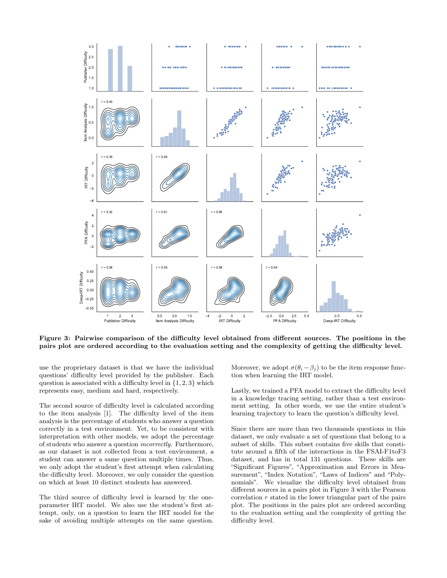

Figure 3: Pairwise comparison of the difficulty level obtained from different sources. The positions in the pairs plot are ordered according to the evaluation setting and the complexity of getting the difficulty level.

use the proprietary dataset is that we have the individual questions' difficulty level provided by the publisher. Each question is associated with a difficulty level in  $\{1, 2, 3\}$  which represents easy, medium and hard, respectively.

The second source of difficulty level is calculated according to the item analysis [1]. The difficulty level of the item analysis is the percentage of students who answer a question correctly in a test environment. Yet, to be consistent with interpretation with other models, we adopt the percentage of students who answer a question incorrectly. Furthermore, as our dataset is not collected from a test environment, a student can answer a same question multiple times. Thus, we only adopt the student's first attempt when calculating the difficulty level. Moreover, we only consider the question on which at least 10 distinct students has answered.

The third source of difficulty level is learned by the oneparameter IRT model. We also use the student's first attempt, only, on a question to learn the IRT model for the sake of avoiding multiple attempts on the same question. Moreover, we adopt  $\sigma(\theta_i - \beta_j)$  to be the item response function when learning the IRT model.

Lastly, we trained a PFA model to extract the difficulty level in a knowledge tracing setting, rather than a test environment setting. In other words, we use the entire student's learning trajectory to learn the question's difficulty level.

Since there are more than two thousands questions in this dataset, we only evaluate a set of questions that belong to a subset of skills. This subset contains five skills that constitute around a fifth of the interactions in the FSAI-F1toF3 dataset, and has in total 131 questions. These skills are "Significant Figures", "Approximation and Errors in Measurement", "Index Notation", "Laws of Indices" and "Polynomials". We visualize the difficulty level obtained from different sources in a pairs plot in Figure 3 with the Pearson correlation  $r$  stated in the lower triangular part of the pairs plot. The positions in the pairs plot are ordered according to the evaluation setting and the complexity of getting the difficulty level.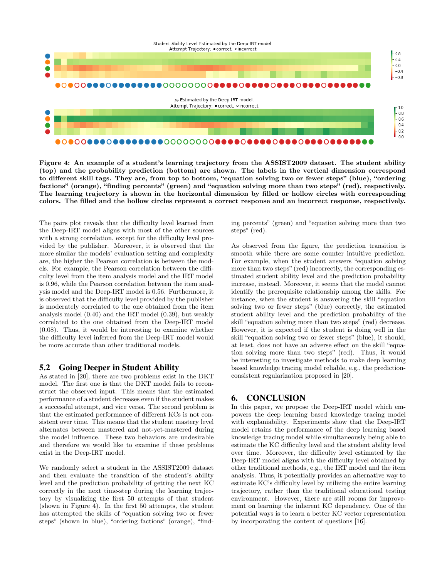

Figure 4: An example of a student's learning trajectory from the ASSIST2009 dataset. The student ability (top) and the probability prediction (bottom) are shown. The labels in the vertical dimension correspond to different skill tags. They are, from top to bottom, "equation solving two or fewer steps" (blue), "ordering factions" (orange), "finding percents" (green) and "equation solving more than two steps" (red), respectively. The learning trajectory is shown in the horizontal dimension by filled or hollow circles with corresponding colors. The filled and the hollow circles represent a correct response and an incorrect response, respectively.

The pairs plot reveals that the difficulty level learned from the Deep-IRT model aligns with most of the other sources with a strong correlation, except for the difficulty level provided by the publisher. Moreover, it is observed that the more similar the models' evaluation setting and complexity are, the higher the Pearson correlation is between the models. For example, the Pearson correlation between the difficulty level from the item analysis model and the IRT model is 0.96, while the Pearson correlation between the item analysis model and the Deep-IRT model is 0.56. Furthermore, it is observed that the difficulty level provided by the publisher is moderately correlated to the one obtained from the item analysis model (0.40) and the IRT model (0.39), but weakly correlated to the one obtained from the Deep-IRT model (0.08). Thus, it would be interesting to examine whether the difficulty level inferred from the Deep-IRT model would be more accurate than other traditional models.

# 5.2 Going Deeper in Student Ability

As stated in [20], there are two problems exist in the DKT model. The first one is that the DKT model fails to reconstruct the observed input. This means that the estimated performance of a student decreases even if the student makes a successful attempt, and vice versa. The second problem is that the estimated performance of different KCs is not consistent over time. This means that the student mastery level alternates between mastered and not-yet-mastered during the model influence. These two behaviors are undesirable and therefore we would like to examine if these problems exist in the Deep-IRT model.

We randomly select a student in the ASSIST2009 dataset and then evaluate the transition of the student's ability level and the prediction probability of getting the next KC correctly in the next time-step during the learning trajectory by visualizing the first 50 attempts of that student (shown in Figure 4). In the first 50 attempts, the student has attempted the skills of "equation solving two or fewer steps" (shown in blue), "ordering factions" (orange), "finding percents" (green) and "equation solving more than two steps" (red).

As observed from the figure, the prediction transition is smooth while there are some counter intuitive prediction. For example, when the student answers "equation solving more than two steps" (red) incorrectly, the corresponding estimated student ability level and the prediction probability increase, instead. Moreover, it seems that the model cannot identify the prerequisite relationship among the skills. For instance, when the student is answering the skill "equation solving two or fewer steps" (blue) correctly, the estimated student ability level and the prediction probability of the skill "equation solving more than two steps" (red) decrease. However, it is expected if the student is doing well in the skill "equation solving two or fewer steps" (blue), it should, at least, does not have an adverse effect on the skill "equation solving more than two steps" (red). Thus, it would be interesting to investigate methods to make deep learning based knowledge tracing model reliable, e.g., the predictionconsistent regularization proposed in [20].

## 6. CONCLUSION

In this paper, we propose the Deep-IRT model which empowers the deep learning based knowledge tracing model with explaniability. Experiments show that the Deep-IRT model retains the performance of the deep learning based knowledge tracing model while simultaneously being able to estimate the KC difficulty level and the student ability level over time. Moreover, the difficulty level estimated by the Deep-IRT model aligns with the difficulty level obtained by other traditional methods, e.g., the IRT model and the item analysis. Thus, it potentially provides an alternative way to estimate KC's difficulty level by utilizing the entire learning trajectory, rather than the traditional educational testing environment. However, there are still rooms for improvement on learning the inherent KC dependency. One of the potential ways is to learn a better KC vector representation by incorporating the content of questions [16].